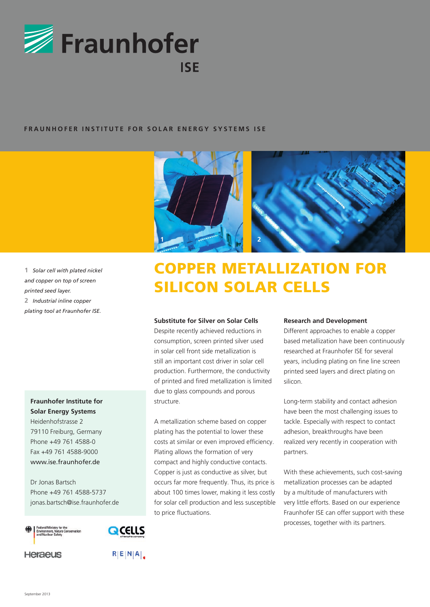

## **FRAUNHOFER INSTITUTE FOR SOLAR ENERGY SYSTEMS ISE**



**1** *Solar cell with plated nickel and copper on top of screen printed seed layer.* **2** *Industrial inline copper plating tool at Fraunhofer ISE.*

**Fraunhofer Institute for Solar Energy Systems**

Heidenhofstrasse 2 79110 Freiburg, Germany Phone +49 761 4588-0 Fax +49 761 4588-9000 www.ise.fraunhofer.de

Dr Jonas Bartsch Phone +49 761 4588-5737 jonas.bartsch@ise.fraunhofer.de





**Heraeus** 



# COPPER METALLIZATION FOR SILICON SOLAR CELLS

#### **Substitute for Silver on Solar Cells**

Despite recently achieved reductions in consumption, screen printed silver used in solar cell front side metallization is still an important cost driver in solar cell production. Furthermore, the conductivity of printed and fired metallization is limited due to glass compounds and porous structure.

A metallization scheme based on copper plating has the potential to lower these costs at similar or even improved efficiency. Plating allows the formation of very compact and highly conductive contacts. Copper is just as conductive as silver, but occurs far more frequently. Thus, its price is about 100 times lower, making it less costly for solar cell production and less susceptible to price fluctuations.

#### **Research and Development**

Different approaches to enable a copper based metallization have been continuously researched at Fraunhofer ISE for several years, including plating on fine line screen printed seed layers and direct plating on silicon.

Long-term stability and contact adhesion have been the most challenging issues to tackle. Especially with respect to contact adhesion, breakthroughs have been realized very recently in cooperation with partners.

With these achievements, such cost-saving metallization processes can be adapted by a multitude of manufacturers with very little efforts. Based on our experience Fraunhofer ISE can offer support with these processes, together with its partners.